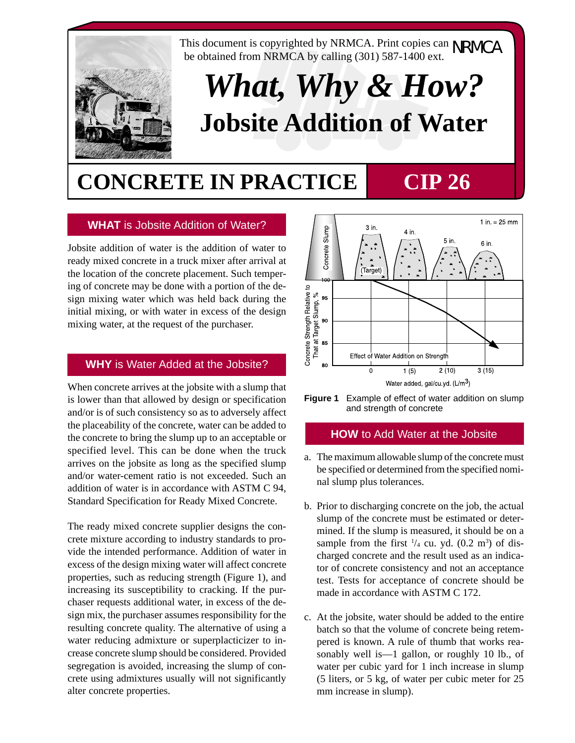

This document is copyrighted by NRMCA. Print copies can  $NRMCA$  be obtained from  $NRMCA$  by galling (201) 587,1400 ovt. be obtained from NRMCA by calling (301) 587-1400 ext.

# *What, Why & How?* **Jobsite Addition of Water**

## **CONCRETE IN PRACTICE CIP 26**

### **WHAT** is Jobsite Addition of Water?

Jobsite addition of water is the addition of water to ready mixed concrete in a truck mixer after arrival at the location of the concrete placement. Such tempering of concrete may be done with a portion of the design mixing water which was held back during the initial mixing, or with water in excess of the design mixing water, at the request of the purchaser.

#### **WHY** is Water Added at the Jobsite?

When concrete arrives at the jobsite with a slump that is lower than that allowed by design or specification and/or is of such consistency so as to adversely affect the placeability of the concrete, water can be added to the concrete to bring the slump up to an acceptable or specified level. This can be done when the truck arrives on the jobsite as long as the specified slump and/or water-cement ratio is not exceeded. Such an addition of water is in accordance with ASTM C 94, Standard Specification for Ready Mixed Concrete.

The ready mixed concrete supplier designs the concrete mixture according to industry standards to provide the intended performance. Addition of water in excess of the design mixing water will affect concrete properties, such as reducing strength (Figure 1), and increasing its susceptibility to cracking. If the purchaser requests additional water, in excess of the design mix, the purchaser assumes responsibility for the resulting concrete quality. The alternative of using a water reducing admixture or superplacticizer to increase concrete slump should be considered. Provided segregation is avoided, increasing the slump of concrete using admixtures usually will not significantly alter concrete properties.



**Figure 1** Example of effect of water addition on slump and strength of concrete

#### **HOW** to Add Water at the Jobsite

- a. The maximum allowable slump of the concrete must be specified or determined from the specified nominal slump plus tolerances.
- b. Prior to discharging concrete on the job, the actual slump of the concrete must be estimated or determined. If the slump is measured, it should be on a sample from the first  $\frac{1}{4}$  cu. yd. (0.2 m<sup>3</sup>) of discharged concrete and the result used as an indicator of concrete consistency and not an acceptance test. Tests for acceptance of concrete should be made in accordance with ASTM C 172.
- c. At the jobsite, water should be added to the entire batch so that the volume of concrete being retempered is known. A rule of thumb that works reasonably well is—1 gallon, or roughly 10 lb., of water per cubic yard for 1 inch increase in slump (5 liters, or 5 kg, of water per cubic meter for 25 mm increase in slump).